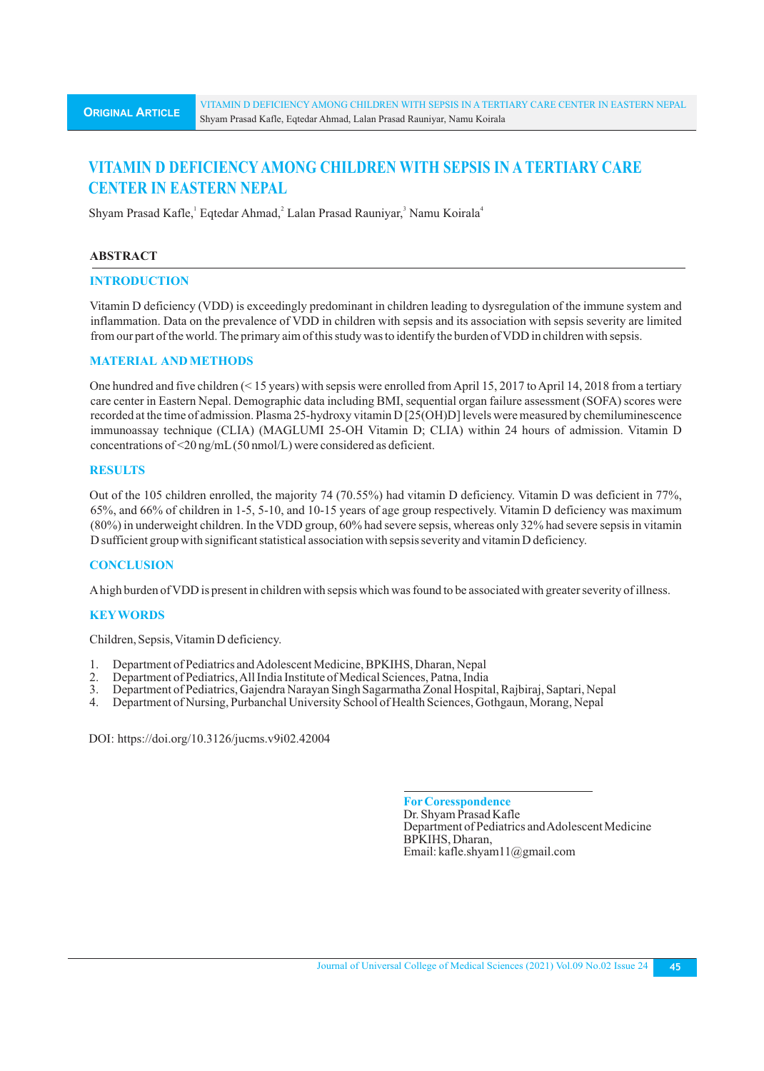# **VITAMIN D DEFICIENCY AMONG CHILDREN WITH SEPSIS IN A TERTIARY CARE CENTER IN EASTERN NEPAL**

Shyam Prasad Kafle, Eqtedar Ahmad, 2 Lalan Prasad Rauniyar, 3 Namu Koirala<sup>4</sup>

## **ABSTRACT**

### **INTRODUCTION**

Vitamin D deficiency (VDD) is exceedingly predominant in children leading to dysregulation of the immune system and inflammation. Data on the prevalence of VDD in children with sepsis and its association with sepsis severity are limited from our part of the world. The primary aim of this study was to identify the burden of VDD in children with sepsis.

## **MATERIAL AND METHODS**

One hundred and five children (< 15 years) with sepsis were enrolled from April 15, 2017 to April 14, 2018 from a tertiary care center in Eastern Nepal. Demographic data including BMI, sequential organ failure assessment (SOFA) scores were recorded at the time of admission. Plasma 25-hydroxy vitamin D [25(OH)D] levels were measured by chemiluminescence immunoassay technique (CLIA) (MAGLUMI 25-OH Vitamin D; CLIA) within 24 hours of admission. Vitamin D concentrations of <20 ng/mL(50 nmol/L) were considered as deficient.

## **RESULTS**

Out of the 105 children enrolled, the majority 74 (70.55%) had vitamin D deficiency. Vitamin D was deficient in 77%, 65%, and 66% of children in 1-5, 5-10, and 10-15 years of age group respectively. Vitamin D deficiency was maximum (80%) in underweight children. In the VDD group, 60% had severe sepsis, whereas only 32% had severe sepsis in vitamin D sufficient group with significant statistical association with sepsis severity and vitamin D deficiency.

## **CONCLUSION**

Ahigh burden of VDD is present in children with sepsis which was found to be associated with greater severity of illness.

## **KEYWORDS**

Children, Sepsis, Vitamin D deficiency.

- 1. Department of Pediatrics and Adolescent Medicine, BPKIHS, Dharan, Nepal 2. Department of Pediatrics. All India Institute of Medical Sciences. Patna. India
- 2. Department of Pediatrics, All India Institute of Medical Sciences, Patna, India
- 3. Department of Pediatrics, Gajendra Narayan Singh Sagarmatha Zonal Hospital, Rajbiraj, Saptari, Nepal
- 4. Department of Nursing, Purbanchal University School of Health Sciences, Gothgaun, Morang, Nepal

DOI: https://doi.org/10.3126/jucms.v9i02.42004

**ForCoresspondence** Dr. Shyam Prasad Kafle Department of Pediatrics and Adolescent Medicine BPKIHS, Dharan, Email: kafle.shyam11@gmail.com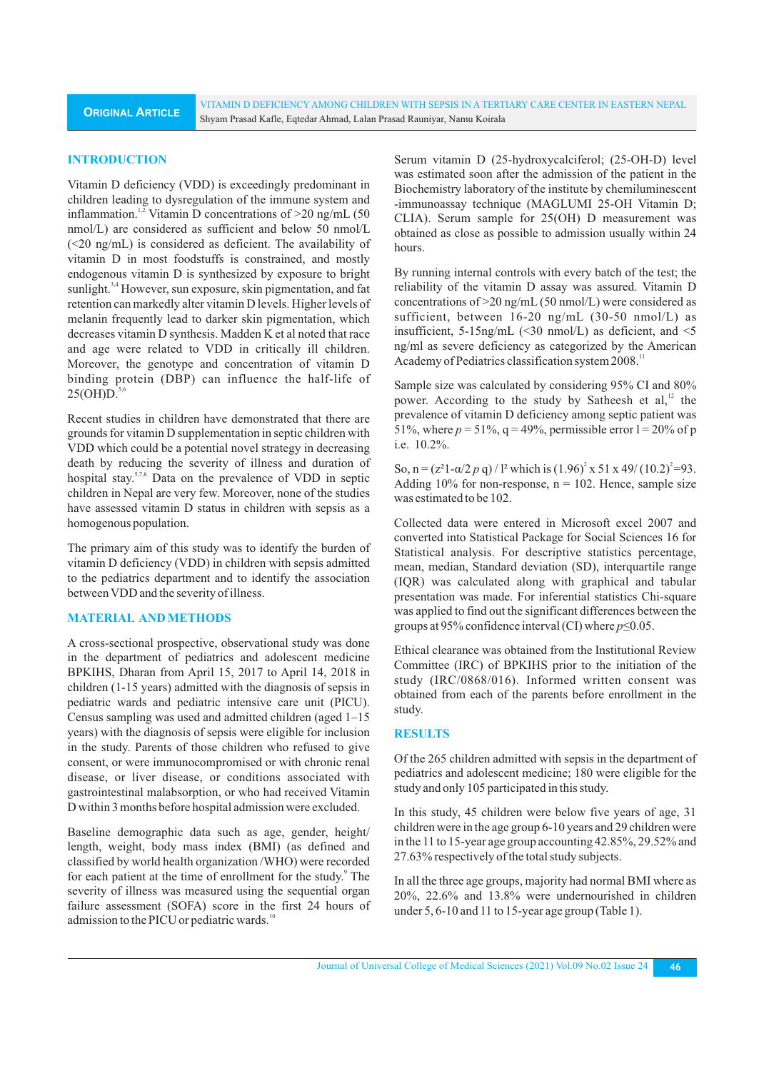#### **INTRODUCTION**

Vitamin D deficiency (VDD) is exceedingly predominant in children leading to dysregulation of the immune system and inflammation.<sup>1,2</sup> Vitamin D concentrations of >20 ng/mL (50 nmol/L) are considered as sufficient and below 50 nmol/L (<20 ng/mL) is considered as deficient. The availability of vitamin D in most foodstuffs is constrained, and mostly endogenous vitamin D is synthesized by exposure to bright sunlight.<sup>3,4</sup> However, sun exposure, skin pigmentation, and fat retention can markedly alter vitamin D levels. Higher levels of melanin frequently lead to darker skin pigmentation, which decreases vitamin D synthesis. Madden K et al noted that race and age were related to VDD in critically ill children. Moreover, the genotype and concentration of vitamin D binding protein (DBP) can influence the half-life of  $25(OH)D^{5}$ 

Recent studies in children have demonstrated that there are grounds for vitamin D supplementation in septic children with VDD which could be a potential novel strategy in decreasing death by reducing the severity of illness and duration of hospital stay.<sup>5,7,8</sup> Data on the prevalence of VDD in septic children in Nepal are very few. Moreover, none of the studies have assessed vitamin D status in children with sepsis as a homogenous population.

The primary aim of this study was to identify the burden of vitamin D deficiency (VDD) in children with sepsis admitted to the pediatrics department and to identify the association between VDD and the severity of illness.

## **MATERIAL AND METHODS**

A cross-sectional prospective, observational study was done in the department of pediatrics and adolescent medicine BPKIHS, Dharan from April 15, 2017 to April 14, 2018 in children (1-15 years) admitted with the diagnosis of sepsis in pediatric wards and pediatric intensive care unit (PICU). Census sampling was used and admitted children (aged 1–15 years) with the diagnosis of sepsis were eligible for inclusion in the study. Parents of those children who refused to give consent, or were immunocompromised or with chronic renal disease, or liver disease, or conditions associated with gastrointestinal malabsorption, or who had received Vitamin D within 3 months before hospital admission were excluded.

Baseline demographic data such as age, gender, height/ length, weight, body mass index (BMI) (as defined and classified by world health organization /WHO) were recorded for each patient at the time of enrollment for the study.<sup>9</sup> The severity of illness was measured using the sequential organ failure assessment (SOFA) score in the first 24 hours of admission to the PICU or pediatric wards.<sup>10</sup>

Serum vitamin D (25-hydroxycalciferol; (25-OH-D) level was estimated soon after the admission of the patient in the Biochemistry laboratory of the institute by chemiluminescent -immunoassay technique (MAGLUMI 25-OH Vitamin D; CLIA). Serum sample for 25(OH) D measurement was obtained as close as possible to admission usually within 24 hours.

By running internal controls with every batch of the test; the reliability of the vitamin D assay was assured. Vitamin D concentrations of >20 ng/mL (50 nmol/L) were considered as sufficient, between 16-20 ng/mL (30-50 nmol/L) as insufficient,  $5-15$ ng/mL (<30 nmol/L) as deficient, and <5 ng/ml as severe deficiency as categorized by the American Academy of Pediatrics classification system 2008.<sup>11</sup>

Sample size was calculated by considering 95% CI and 80% power. According to the study by Satheesh et al,<sup>12</sup> the prevalence of vitamin D deficiency among septic patient was 51%, where  $p = 51\%$ ,  $q = 49\%$ , permissible error  $l = 20\%$  of p i.e. 10.2%.

So,  $n = (z^2 1 - \alpha/2 p q) / 1^2$  which is  $(1.96)^2$  x 51 x 49/ $(10.2)^2$ =93. Adding  $10\%$  for non-response,  $n = 102$ . Hence, sample size was estimated to be 102.

Collected data were entered in Microsoft excel 2007 and converted into Statistical Package for Social Sciences 16 for Statistical analysis. For descriptive statistics percentage, mean, median, Standard deviation (SD), interquartile range (IQR) was calculated along with graphical and tabular presentation was made. For inferential statistics Chi-square was applied to find out the significant differences between the groups at 95% confidence interval (CI) where *p*≤0.05.

Ethical clearance was obtained from the Institutional Review Committee (IRC) of BPKIHS prior to the initiation of the study (IRC/0868/016). Informed written consent was obtained from each of the parents before enrollment in the study.

# **RESULTS**

Of the 265 children admitted with sepsis in the department of pediatrics and adolescent medicine; 180 were eligible for the study and only 105 participated in this study.

In this study, 45 children were below five years of age, 31 children were in the age group 6-10 years and 29 children were in the 11 to 15-year age group accounting 42.85%, 29.52% and 27.63% respectively of the total study subjects.

In all the three age groups, majority had normal BMI where as 20%, 22.6% and 13.8% were undernourished in children under 5, 6-10 and 11 to 15-year age group (Table 1).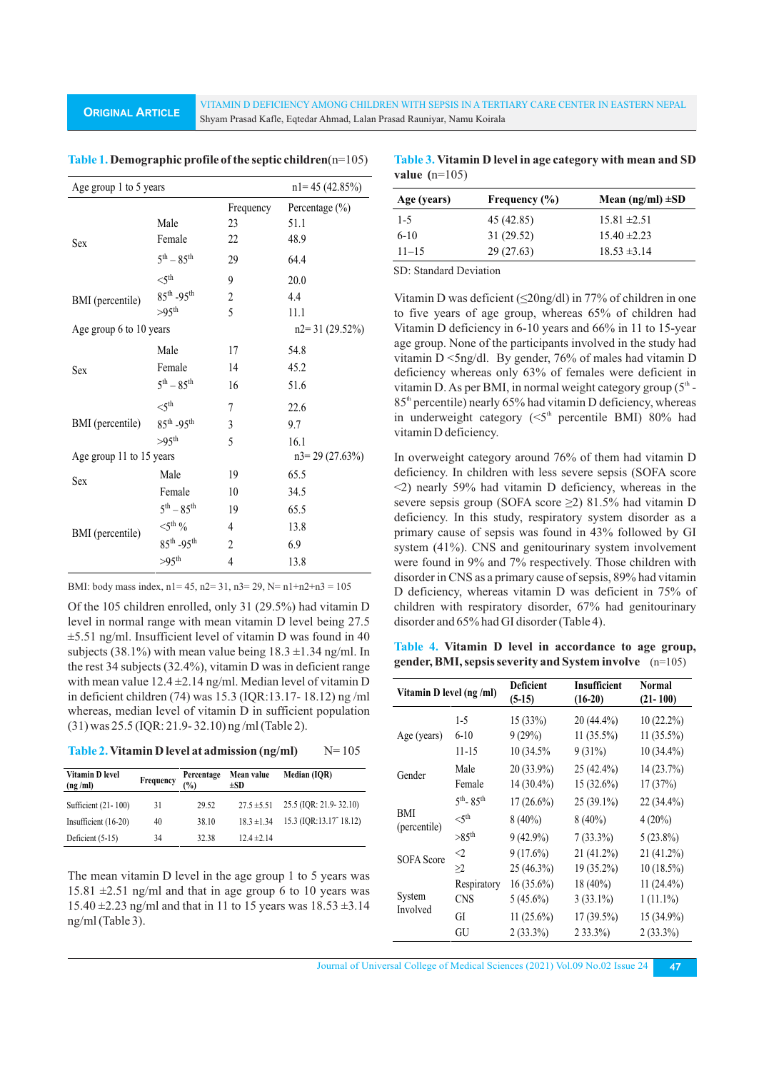| Age group 1 to 5 years   |                       |                | $n = 45(42.85%)$    |
|--------------------------|-----------------------|----------------|---------------------|
|                          |                       | Frequency      | Percentage $(\% )$  |
|                          | Male                  | 23             | 51.1                |
| <b>Sex</b>               | Female                | 22             | 48.9                |
|                          | $5^{th} - 85^{th}$    | 29             | 64.4                |
|                          | $<$ 5 <sup>th</sup>   | 9              | 20.0                |
| BMI (percentile)         | $85^{th} - 95^{th}$   | $\overline{c}$ | 4.4                 |
|                          | $>95$ <sup>th</sup>   | 5              | 11.1                |
| Age group 6 to 10 years  |                       |                | $n2 = 31 (29.52\%)$ |
| <b>Sex</b>               | Male                  | 17             | 54.8                |
|                          | Female                | 14             | 45.2                |
|                          | $5^{th} - 85^{th}$    | 16             | 51.6                |
|                          | $\lt$ 5 <sup>th</sup> | 7              | 22.6                |
| BMI (percentile)         | 85th -95th            | 3              | 9.7                 |
|                          | $>95$ <sup>th</sup>   | 5              | 16.1                |
| Age group 11 to 15 years |                       |                | $n3=29(27.63\%)$    |
| <b>Sex</b>               | Male                  | 19             | 65.5                |
|                          | Female                | 10             | 34.5                |
|                          | $5^{th} - 85^{th}$    | 19             | 65.5                |
| BMI (percentile)         | $<$ 5 <sup>th</sup> % | 4              | 13.8                |
|                          | $85^{th} - 95^{th}$   | $\overline{2}$ | 6.9                 |
|                          | $>95$ <sup>th</sup>   | 4              | 13.8                |

| Table 1. Demographic profile of the septic children $(n=105)$ |  |  |  |  |  |
|---------------------------------------------------------------|--|--|--|--|--|
|---------------------------------------------------------------|--|--|--|--|--|

BMI: body mass index,  $n1 = 45$ ,  $n2 = 31$ ,  $n3 = 29$ ,  $N = n1+n2+n3 = 105$ 

Of the 105 children enrolled, only 31 (29.5%) had vitamin D level in normal range with mean vitamin D level being 27.5 ±5.51 ng/ml. Insufficient level of vitamin D was found in 40 subjects (38.1%) with mean value being  $18.3 \pm 1.34$  ng/ml. In the rest 34 subjects (32.4%), vitamin D was in deficient range with mean value  $12.4 \pm 2.14$  ng/ml. Median level of vitamin D in deficient children (74) was 15.3 (IQR:13.17- 18.12) ng /ml whereas, median level of vitamin D in sufficient population (31) was 25.5 (IQR: 21.9- 32.10) ng /ml (Table 2).

**Table 2. Vitamin D level at admission (ng/ml)** N= 105

| Vitamin D level<br>(ng/ml) | Frequency | Percentage<br>$\frac{9}{9}$ | Mean value<br>±SD | Median (IOR)                        |
|----------------------------|-----------|-----------------------------|-------------------|-------------------------------------|
| Sufficient (21-100)        | 31        | 29.52                       | $27.5 \pm 5.51$   | $25.5$ (IQR: 21.9-32.10)            |
| Insufficient $(16-20)$     | 40        | 38.10                       | $18.3 \pm 1.34$   | 15.3 (IQR:13.17 <sup>-</sup> 18.12) |
| Deficient $(5-15)$         | 34        | 32.38                       | $12.4 \pm 2.14$   |                                     |

The mean vitamin D level in the age group 1 to 5 years was 15.81  $\pm$ 2.51 ng/ml and that in age group 6 to 10 years was 15.40  $\pm$ 2.23 ng/ml and that in 11 to 15 years was 18.53  $\pm$ 3.14 ng/ml (Table 3).

**Table 3. Vitamin D level in age category with mean and SD value (**n=105)

| Age (years) | Frequency $(\% )$ | Mean (ng/ml) $\pm SD$ |
|-------------|-------------------|-----------------------|
| $1 - 5$     | 45 (42.85)        | $15.81 \pm 2.51$      |
| $6-10$      | 31 (29.52)        | $15.40 \pm 2.23$      |
| $11 - 15$   | 29 (27.63)        | $18.53 \pm 3.14$      |

SD: Standard Deviation

Vitamin D was deficient ( $\leq$ 20ng/dl) in 77% of children in one to five years of age group, whereas 65% of children had Vitamin D deficiency in 6-10 years and 66% in 11 to 15-year age group. None of the participants involved in the study had vitamin D <5ng/dl. By gender, 76% of males had vitamin D deficiency whereas only 63% of females were deficient in vitamin D. As per BMI, in normal weight category group  $(5<sup>m</sup> 85<sup>th</sup>$  percentile) nearly 65% had vitamin D deficiency, whereas in underweight category ( $5<sup>th</sup>$  percentile BMI) 80% had vitamin D deficiency.

In overweight category around 76% of them had vitamin D deficiency. In children with less severe sepsis (SOFA score <2) nearly 59% had vitamin D deficiency, whereas in the severe sepsis group (SOFA score  $\geq$ 2) 81.5% had vitamin D deficiency. In this study, respiratory system disorder as a primary cause of sepsis was found in 43% followed by GI system (41%). CNS and genitourinary system involvement were found in 9% and 7% respectively. Those children with disorder in CNS as a primary cause of sepsis, 89% had vitamin D deficiency, whereas vitamin D was deficient in 75% of children with respiratory disorder, 67% had genitourinary disorder and 65% had GI disorder (Table 4).

**Table 4. Vitamin D level in accordance to age group, gender, BMI, sepsis severity and System involve** (n=105)

| Vitamin D level (ng/ml) |                      | <b>Deficient</b><br>$(5-15)$ | <b>Insufficient</b><br>$(16-20)$ | <b>Normal</b><br>$(21 - 100)$ |
|-------------------------|----------------------|------------------------------|----------------------------------|-------------------------------|
|                         | $1 - 5$              | 15(33%)                      | $20(44.4\%)$                     | $10(22.2\%)$                  |
| Age (years)             | $6-10$               | 9(29%)                       | $11(35.5\%)$                     | $11(35.5\%)$                  |
|                         | $11 - 15$            | 10 (34.5%)                   | $9(31\%)$                        | $10(34.4\%)$                  |
| Gender                  | Male                 | 20 (33.9%)                   | 25 (42.4%)                       | 14 (23.7%)                    |
|                         | Female               | 14 (30.4%)                   | $15(32.6\%)$                     | 17(37%)                       |
|                         | $5^{th}$ - $85^{th}$ | $17(26.6\%)$                 | 25 (39.1%)                       | 22 (34.4%)                    |
| BMI<br>(percentile)     | $<$ 5 <sup>th</sup>  | $8(40\%)$                    | $8(40\%)$                        | $4(20\%)$                     |
|                         | $>85$ <sup>th</sup>  | $9(42.9\%)$                  | $7(33.3\%)$                      | $5(23.8\%)$                   |
| <b>SOFA</b> Score       | $<$ 2                | $9(17.6\%)$                  | 21 (41.2%)                       | 21 (41.2%)                    |
|                         | >2                   | 25 (46.3%)                   | 19 (35.2%)                       | $10(18.5\%)$                  |
|                         | Respiratory          | $16(35.6\%)$                 | 18 (40%)                         | $11(24.4\%)$                  |
| System<br>Involved      | <b>CNS</b>           | $5(45.6\%)$                  | $3(33.1\%)$                      | $1(11.1\%)$                   |
|                         | GI                   | $11(25.6\%)$                 | $17(39.5\%)$                     | 15 (34.9%)                    |
|                         | GU                   | $2(33.3\%)$                  | 2 33.3%)                         | $2(33.3\%)$                   |

Journal of Universal College of Medical Sciences (2021) Vol.09 No.02 Issue 24 **47**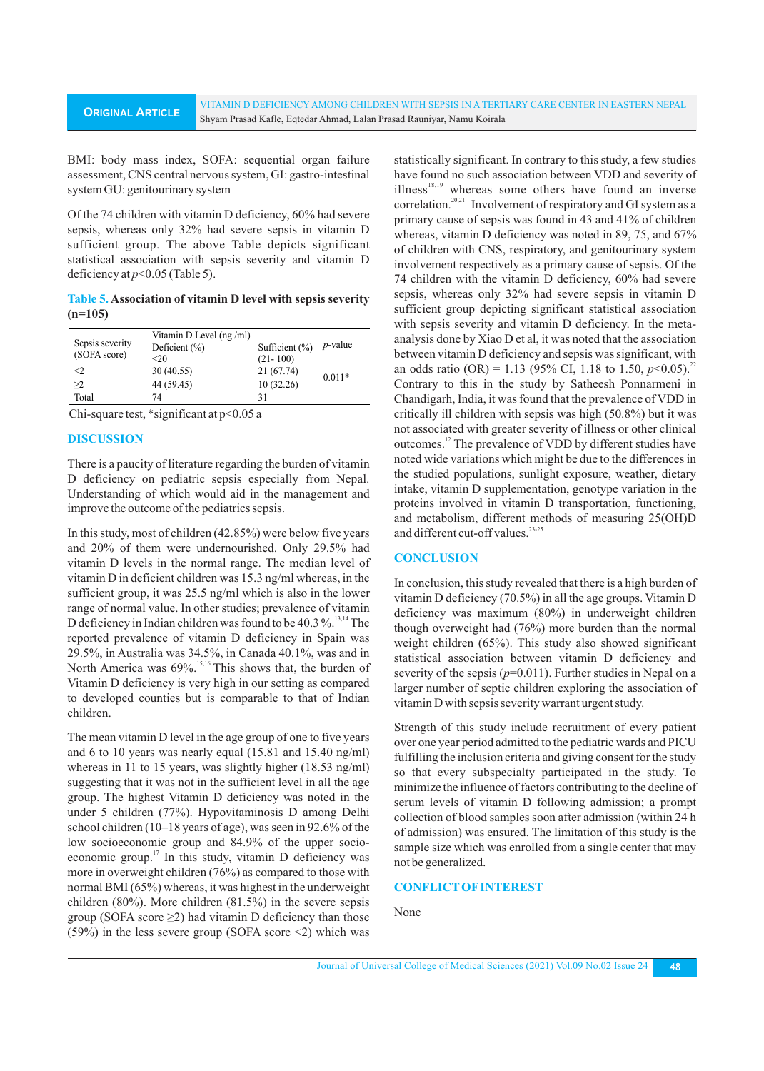BMI: body mass index, SOFA: sequential organ failure assessment, CNS central nervous system, GI: gastro-intestinal system GU: genitourinary system

Of the 74 children with vitamin D deficiency, 60% had severe sepsis, whereas only 32% had severe sepsis in vitamin D sufficient group. The above Table depicts significant statistical association with sepsis severity and vitamin D deficiency at  $p<0.05$  (Table 5).

**Table 5. Association of vitamin D level with sepsis severity (n=105)** 

| Sepsis severity<br>(SOFA score) | Vitamin D Level (ng/ml)<br>Deficient $(\% )$<br><20 | Sufficient $(\% )$<br>$(21 - 100)$ | $p$ -value |
|---------------------------------|-----------------------------------------------------|------------------------------------|------------|
| <2                              | 30(40.55)                                           | 21 (67.74)                         |            |
| >2                              | 44 (59.45)                                          | 10(32.26)                          | $0.011*$   |
| Total                           | 74                                                  | 31                                 |            |

Chi-square test, \*significant at p<0.05 a

### **DISCUSSION**

There is a paucity of literature regarding the burden of vitamin D deficiency on pediatric sepsis especially from Nepal. Understanding of which would aid in the management and improve the outcome of the pediatrics sepsis.

In this study, most of children (42.85%) were below five years and 20% of them were undernourished. Only 29.5% had vitamin D levels in the normal range. The median level of vitamin D in deficient children was 15.3 ng/ml whereas, in the sufficient group, it was 25.5 ng/ml which is also in the lower range of normal value. In other studies; prevalence of vitamin D deficiency in Indian children was found to be  $40.3\%$ .<sup>13,14</sup> The reported prevalence of vitamin D deficiency in Spain was 29.5%, in Australia was 34.5%, in Canada 40.1%, was and in North America was 69%.<sup>15,16</sup> This shows that, the burden of Vitamin D deficiency is very high in our setting as compared to developed counties but is comparable to that of Indian children.

The mean vitamin D level in the age group of one to five years and 6 to 10 years was nearly equal (15.81 and 15.40 ng/ml) whereas in 11 to 15 years, was slightly higher (18.53 ng/ml) suggesting that it was not in the sufficient level in all the age group. The highest Vitamin D deficiency was noted in the under 5 children (77%). Hypovitaminosis D among Delhi school children (10–18 years of age), was seen in 92.6% of the low socioeconomic group and 84.9% of the upper socioeconomic group.<sup>17</sup> In this study, vitamin D deficiency was more in overweight children (76%) as compared to those with normal BMI (65%) whereas, it was highest in the underweight children (80%). More children (81.5%) in the severe sepsis group (SOFA score  $\geq$ 2) had vitamin D deficiency than those (59%) in the less severe group (SOFA score  $\leq$ 2) which was

statistically significant. In contrary to this study, a few studies have found no such association between VDD and severity of illness<sup>18,19</sup> whereas some others have found an inverse correlation. $20,21$  Involvement of respiratory and GI system as a primary cause of sepsis was found in 43 and 41% of children whereas, vitamin D deficiency was noted in 89, 75, and 67% of children with CNS, respiratory, and genitourinary system involvement respectively as a primary cause of sepsis. Of the 74 children with the vitamin D deficiency, 60% had severe sepsis, whereas only 32% had severe sepsis in vitamin D sufficient group depicting significant statistical association with sepsis severity and vitamin D deficiency. In the metaanalysis done by Xiao D et al, it was noted that the association between vitamin D deficiency and sepsis was significant, with an odds ratio (OR) = 1.13 (95% CI, 1.18 to 1.50,  $p$ <0.05).<sup>22</sup> Contrary to this in the study by Satheesh Ponnarmeni in Chandigarh, India, it was found that the prevalence of VDD in critically ill children with sepsis was high (50.8%) but it was not associated with greater severity of illness or other clinical outcomes.<sup>12</sup> The prevalence of VDD by different studies have noted wide variations which might be due to the differences in the studied populations, sunlight exposure, weather, dietary intake, vitamin D supplementation, genotype variation in the proteins involved in vitamin D transportation, functioning, and metabolism, different methods of measuring 25(OH)D and different cut-off values.<sup>23-25</sup>

## **CONCLUSION**

In conclusion, this study revealed that there is a high burden of vitamin D deficiency (70.5%) in all the age groups. Vitamin D deficiency was maximum (80%) in underweight children though overweight had (76%) more burden than the normal weight children (65%). This study also showed significant statistical association between vitamin D deficiency and severity of the sepsis  $(p=0.011)$ . Further studies in Nepal on a larger number of septic children exploring the association of vitamin D with sepsis severity warrant urgent study.

Strength of this study include recruitment of every patient over one year period admitted to the pediatric wards and PICU fulfilling the inclusion criteria and giving consent for the study so that every subspecialty participated in the study. To minimize the influence of factors contributing to the decline of serum levels of vitamin D following admission; a prompt collection of blood samples soon after admission (within 24 h of admission) was ensured. The limitation of this study is the sample size which was enrolled from a single center that may not be generalized.

#### **CONFLICTOFINTEREST**

None